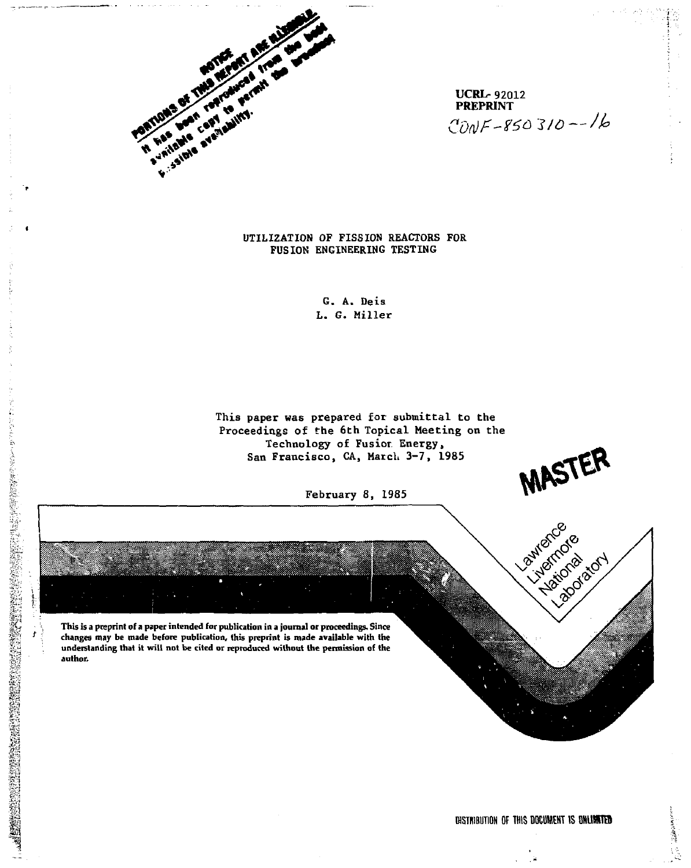

**UCRL- 92012 PREPRINT**  *Con) f-Ma ~\*lQ -/jo* 

# **UTILIZATION OF FISSION REACTORS FOR FUSION ENGINEERING TESTING**

**G. A. Deis L. G. Miller** 

**This paper was prepared for submittal to the Proceedings of the 6th Topical Meeting on the Technology of Fusior. Energy, San Francisco, CA, March 3-7, 1985** 

February 8, 1985

**This is a preprint of a paper intended for publication in a journal or proceedings. Since changes may be made before publication, this preprint is made available with the understanding that it will not be cited or reproduced without the permission of the author.** 

**Les Archite** 

MASTER

Luxience of Division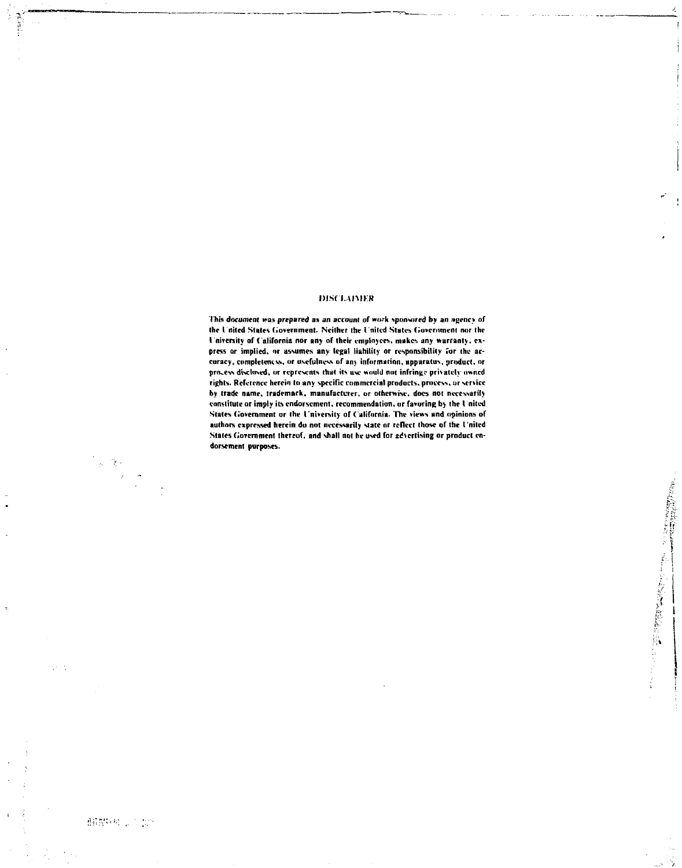# **IHSCI.AIMKR**

**This document was prepared** *as* **an account of »wk sponsored by an agency of the I nited States (Government. Neither the t'nilcd States Government nor the ( niversity of California nor any of their employees, makes any warranty, ex**press or implied, or assumes any legal liability or responsibility for the ac**curacy, completencvs, or usefulness of any information, apparatus, product, or**  process disclosed, or represents that its use would not infringe privately owned rights. Reference herein to any specific commercial products, process, or service **by trade name, trademark, manufacturer, or otherwise, docs not necessarily constitute or imply its endorsement, recommendation, or favoring by the I niled**  States Government or the University of California. The views and opinions of **authors expressed herein do not necessarily state nr reflect those of the I'niled**  States Government thereof, and shall not he used for advertising or product endorsement purposes.

邮票(税)之后的

 $\mathbb{R}^n$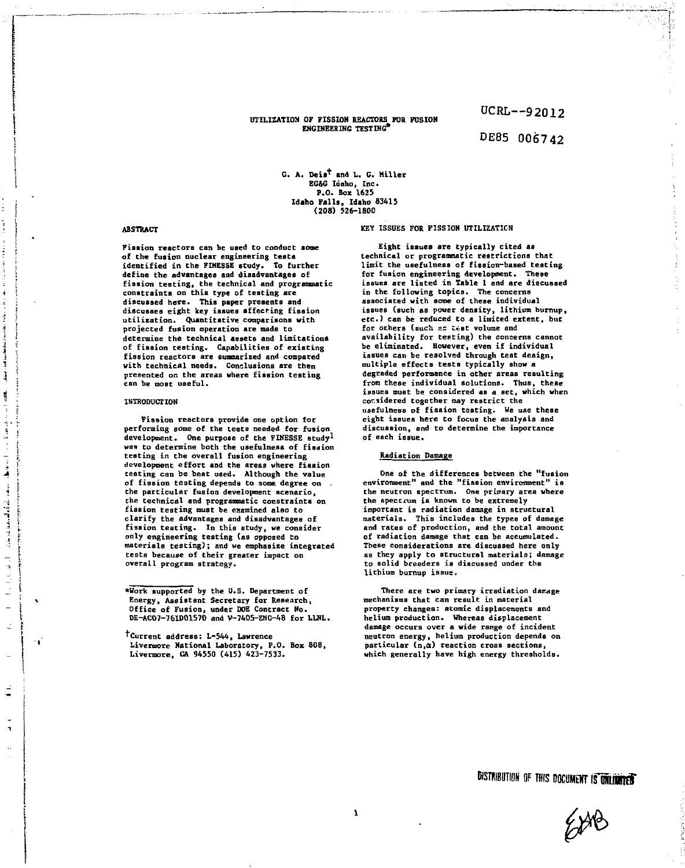## **UTILIZATION OF FISSION REACTORS FOR FUSION ENGINEERING TESTING\***

**OCRL--92012** 

# **DE85 006742**

**G. A. Deis\* and L. G. Miller EG&G Idaho, Inc. P.O. Box 1625 Idaho Falls, Idaho 83415 (208) 526-1800** 

#### **ABSTRACT**

**Fission reactors can be used to conduct some of the fusion nuclear engineering tests identified in the FINESSE study. To further define the advantages and disadvantages of fission testing, the technical and programmatic constraints on this type of testing are discussed here. This paper presents and discusses eight key issues affecting fission utilization. Quantitative comparisons with projected fusion operation are made to**  determine the technical assets and limitations **of fission testing. Capabilities of existing fission reactors are summarized and compared with technical needs. Conclusions are then presented on the areas where fission testing can be most useful.** 

### **INTRODUCTION**

Ã ţ

j

j

بالمقام المصفحات بمدا

 $\frac{1}{4}$  $\frac{1}{2}$  $\overline{a}$ Ŀ,

 $\cdot$  .

**Fission reactors provide one option for performing some of the tests needed for fusion**  development. One purpose of the FINESSE study<sup>1</sup> **was to determine both the usefulness of fission testing in the overall fusion engineering development effort and the areas where fission testing can be best used. Although the value of fission testing depends to some degree on the particular fusion development scenario, the technical and programmatic constraints on fission testing must be examined also to clarify the advantages and disadvantages of fission testing. In this study, we consider only engineering testing (as opposed to materials testing); and we emphasize integrated tests because of their greater impact on overall program strategy.** 

### **KEY ISSUES FOR FISSION UTILIZATION**

**Eight issues are typically cited as technical or programmatic restrictions that limit the usefulness of fission-based testing for fusion engineering development. These issues are listed in Table 1 and are discussed in the following topics. The concerns associated with some of these individual issues (such as power density, lithium burnup, etc.) can be reduced to a limited extent, but for others (such as Ccst volume and availability for testing) the concerns cannot be eliminated. However, even if individual issues can be resolved through test design, multiple effects tests typically show a degraded performance in other areas resulting from these individual solutions. Thus, these issues must be considered as a set, which when considered together may restrict the usefulness of fission testing. We use these eight issues here to focus the analysis and discussion, and to determine the importance of each issue.** 

## **Radiation Damage**

**One of the differences between the "fusion environment" and the "fission environment" is the neutron spectrum. One primary area where the spectrum is known to be extremely important is radiation damage in structural materials. This includes the types of damage and rates of production, and the total amount of radiation damage that can be accumulated. These considerations are discussed here only as they apply to structural materials; damage to solid breeders is discussed under the lithium burnup issue.** 

**There are two primary irradiation damage mechanisms that can result in material property changes: atomic displacements and helium production. Whereas displacement damage occurs over a wide range of incident neutron energy, helium production depends on particular (n,a) reaction cross sections, which generally have high energy thresholds.** 



**<sup>\*</sup>Work supported by the U.S. Department of Energy, Assistant Secretary for Research, Office of Fusion, under DOE Contract No. DE-AC07-76ID01570 and V-7405-ENG-48 for LLNL.** 

**<sup>T</sup>Current address: L-544, Lawrence Live more National Laboratory, P.O. Box 808, Livermore, CA 94550 (415) 423-7533.**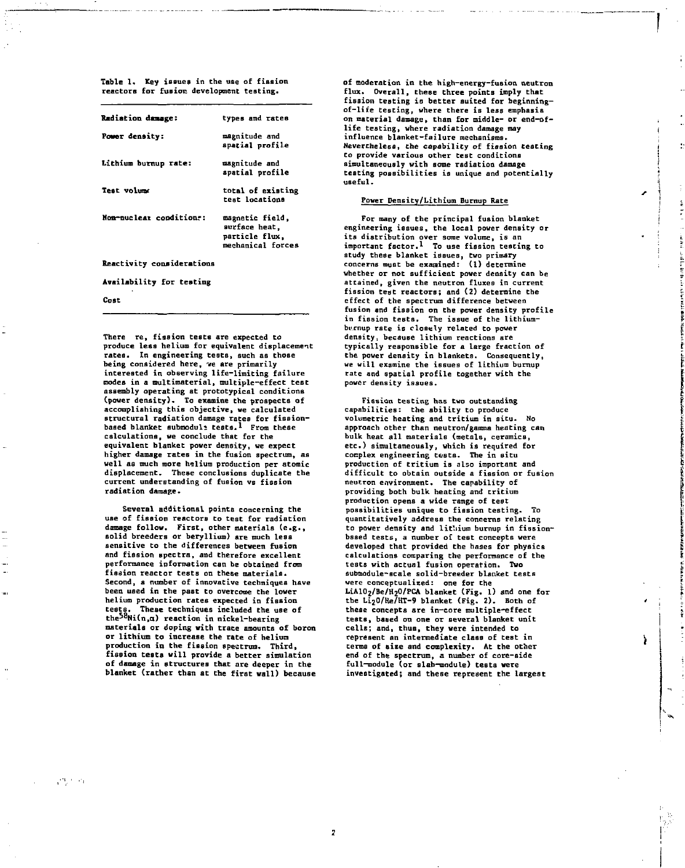**Table 1> Key issues in the use of fission reactors for fusion development testing.** 

| Radiation damage:       | types and rates                                                         |
|-------------------------|-------------------------------------------------------------------------|
| Power density:          | magnitude and<br>apatial profile                                        |
| Lithium burnup rate:    | magnitude and<br>apatial profile                                        |
| Test volume             | total of existing<br>test locations                                     |
| Non-nuclear conditions: | magnetic field,<br>surface heat.<br>particle flux,<br>mechanical forces |

**Reactivity considerations** 

**Availability for testing** 

**Cost** 

**There re, fission tests are expected to produce leas helium for equivalent displacement rates. In engineering tests, such as those being considered here, ve are primarily interested in observing life-limiting failure modes in a multimaterial, multiple-effect test assembly operating at prototypical conditions (power density). To examine the prospects of accomplishing this objective, we calculated structural radiation damage rates for fission-based blanket suhmodul\* tests.1 From these calculations, we conclude that for the equivalent blanket power density, we expect higher damage rates in the fusion spectrum, as well as much more helium production per atomic displacement. These conclusions duplicate the current understanding of fusion vs fission radiation damage.** 

**Several additional points concerning the use of fission reactors to test for radiation damage follow. First, other materials (e.g., solid breeders or beryllium) are much less sensitive to the differences between fusion and fission spectra, and therefore excellent performance information can be obtained from fission reactor tests on these materials. Second, a number of innovative techniques have been used in the past to overcome the lower helium production rates expected in fission tests. These techniques included the use of the58Ni(n,a) reaction in nickel-bearing materials or doping with trace amounts of boron or lithium to increase the rate of helium production in the fission spectrum. Third, fission tests will provide a better simulation of damage in structures that are deeper in the blanket (rather than at the first wall) because**  **of moderation in the high-energy-fusion neutron flux. Overall, these three points imply that**  fission testing is better suited for beginning**of-life testing, where there is less emphasis on material damage, than for middle- or end-oflife testing, where radiation damage may influence blanket-failure mechanisms. Nevertheless, the capability of fission testing to provide various other test conditions simultaneously with some radiation damage testing possibilities is unique and potentially useful.** 

## **Power Density/Lithium Burnup Rate**

**For many of the principal fusion blanket engineering issues, the local power density or its distribution over some volume, is an important factor.\* To use fission testing to study these blanket issues, two primary concerns must be examined: (1) determine whether or not sufficient power density can be attained, given the neutron fluxes in current fission test reactors; and (2) determine the effect of the spectrum difference between fusion and fission on the power density profile in fission tests. The issue of the lithiumbumup rate is closely related to power density, because lithium reactions are typically responsible for a large fraction of the power density in blankets. Consequently, we will examine the issues of lithium burnup rate and spatial profile together with the power density issues.** 

**Fission testing has two outstanding capabilities: the ability to produce volumetric heating and tritium in situ. No approach other than neutron/gamma heating can bulk heat all materials (metals, ceramics, etc.) simultaneously, which is required for cocplex engineering tests. The in situ production of tritium is also important and difficult to obtain outside a fission or fusion neutron environment. The capability of providing both bulk heating and tritium production opens a wide range of test possibilities unique to fission testing. To quantitatively address the concerns relating to power density and lithium burnup in fission**based tests, a number of test concepts were **developed that provided the bases for physics calculations comparing the performance of the tests with actual fusion operation. Two subtnodule-scale solid-breeder blanket tests were conceptualized: one for the LiA102/Be/H20/PCA blanket (Fig. 1) and one for the Li20/He/HT-9 blanket (Fig. 2). Both of these concepts are in-core multiple-effect tests, based on one or several blanket unit cells; and, thus, they were intended to represent an intermediate class of test in terms of size and complexity. At the other end of the spectrum, a number of core-side full-module (or slab-module) tests were investigated; and these represent the largest** 

Y

 $\mathcal{C}^1$  ,  $\mathcal{C}^1$  ,  $\mathcal{C}_1$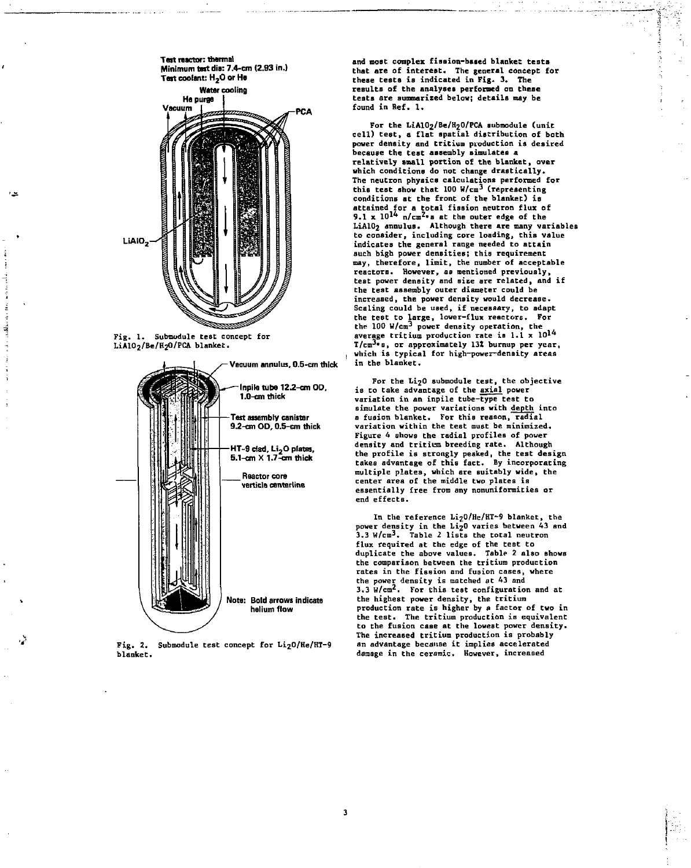

**Fig . 1. Submodule test concept for LiA10<sup>2</sup> /Be/H20/PC& blanket.** 



**Fig . 2. Submodule test concept for Li <sup>2</sup> 0/He/HT-9 blanket.** 

and most complex fission-based blanket tests **that are of interest. The general concept for**  these tests is indicated in Fig. 3. The results of the analyses performed on these **tests are summarized below; details may be found in Ref. 1.** 

**For the LiAlC^/Be/l^O/PCA submodule (unit cell ) test , a fla t spatia l distribution of both power density and tritium production is desired because the test assembly simulates a**  relatively small portion of the blanket, over **which conditions do not change drastically .**  The neutron physics calculations performed for **this teat show that 100 W/cm<sup>3</sup> (representing conditions at the front of the blanket) i s**  attained for a total fission neutron flux of<br>9.1 x 10<sup>14</sup> n/cm<sup>2</sup>°B at the outer edge of the<br>LiAlO<sub>2</sub> annulus. Although there are many variables **to consider , including core loading, this value**  indicates the general range needed to attain **such high power densities; this requirement**  may, therefore, limit, the number of acceptable **reactors. However, as mentioned previously , test power density and sic e are related, and i f the test assembly outer diameter could be increased, the power density would decrease . Scaling could be used, if necessary, to adapt**  the test to large, lower-flux reactors. For the 100 W/cm<sup>3</sup> power density operation, the **average tritium production rate is 1.1 x T/cra3 ,s, or approximately 131 burnup per year ,**  which is typical for high-power-density areas **in the blanket.** 

For the Li<sub>2</sub>0 submodule test, the objective **is to take advantage of the axial power**  variation in an inpile tube-type test to simulate the power variations with depth into **a fusion blanket. For this reason, radial variation within the test must be minimized.**  Figure 4 shows the radial profiles of power **density and tritium breeding rate . Although**  the profile is strongly peaked, the test design<br>takes advantage of this fact. By incorporating<br>multiple plates, which are suitably wide, the center area of the middle two plates is **essentiall y free from any nonuniformities or end effects.** 

**In the reference Li20/He/HT-9 blanket, the**  power density in the Li<sub>2</sub>0 varies between 43 and **3.3 W/cm<sup>3</sup> . Table 2 lists the tota l neutron flux required at the edge of the test to duplicate the above values. Table 2 als o shows the comparison between the tritium production**  rates in the fission and fusion cases, where the power density is matched at 43 and<br>3.3 W/cm<sup>2</sup>. For this test configuration and at **the highest power density, the tritium**  production rate is higher by a factor of two in **the test . The tritium production is equivalent to the fusion case at the lowest power density . The increased tritium production is probably an advantage because i t implies accelerated damage in the ceramic. However, increased**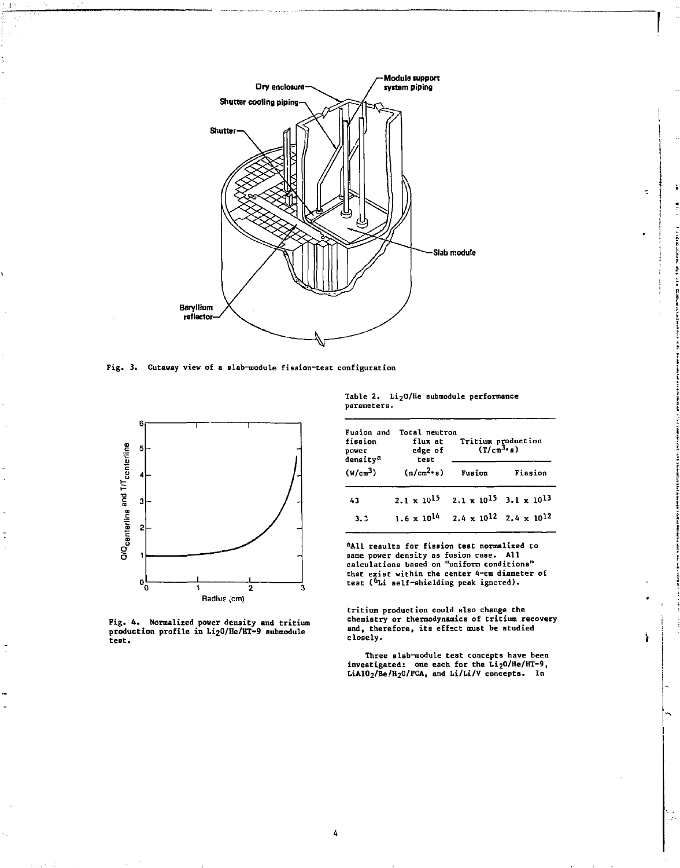

**Fig. 3. Cutaway view of a slab-module fission-test configuration** 



**Fig. 4 . Normalized power density and tritium production profil e in Li207He/HT-9 aubmodule test.** 

**Table 2. LijO/He submodule performance parameters.** 

| Fusion and<br>fission<br>power<br>density <sup>a</sup> | Total neutron<br>flux at<br>edge of<br>test | Tritium production<br>$(T/cm3·s)$ |                                           |  |
|--------------------------------------------------------|---------------------------------------------|-----------------------------------|-------------------------------------------|--|
| (W/cm <sup>3</sup> )                                   | (n/cm <sup>2</sup> ·s)                      | Fusion                            | Fission                                   |  |
| 43                                                     | $2.1 \times 10^{15}$                        |                                   | $2.1 \times 10^{15}$ 3.1 $\times 10^{13}$ |  |
| 3.3                                                    | $1.6 \times 10^{14}$                        |                                   | $2.4 \times 10^{12}$ $2.4 \times 10^{12}$ |  |

**<sup>a</sup> A l l results for fission test normalized to same power density as fusion case . All calculations based on "uniform conditions"**  that exist within the center 4-cm diameter of<br>test (<sup>6</sup>Li self-shielding peak ignored).

**tritium production could also change the chemistry or thermodynamics of tritium recovery**  and, therefore, its effect must be studied **closely .** 

ì

**Three slab-module test concepts have been investigated: one each for the Li20/He/HT-9, LiAlOg/Be/B^O/FCA, and Li/Li/V concepts. In**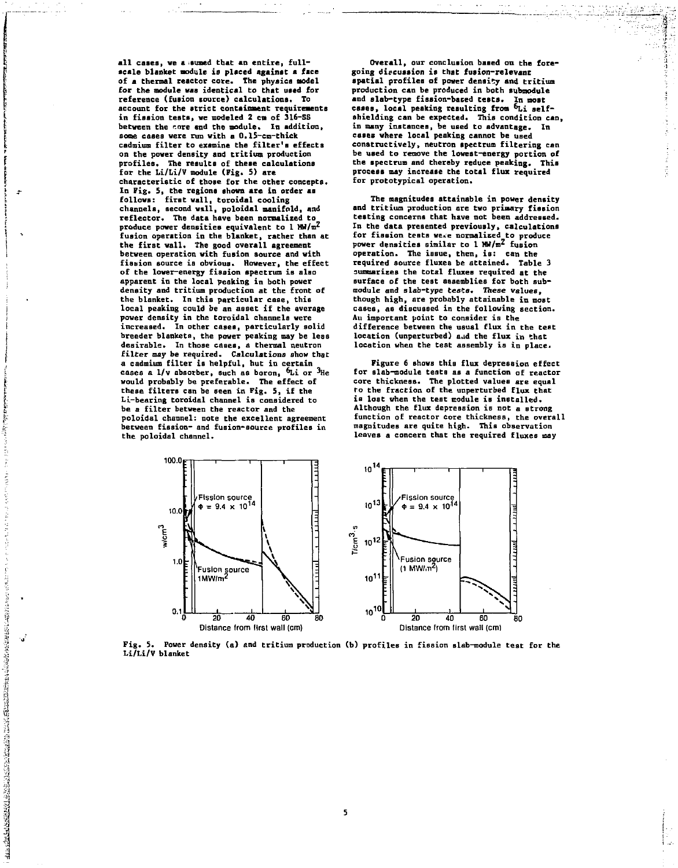**all cases, we a .eumed that an entire, fullscale blanket module is placed against a face of a thermal reactor core. The physics model for the nodule was identical to that used for reference (fusion source) calculations. To account for the strict containment requirements in fission tests, we modeled 2 cm of 316-SS between the tore and Che module. In addition, some cases were run with a 0.15-cm-thick cadmium filter to examine the filter's effects on the power density and tritium production profiles. The results of these calculations for the Li/Li/V module (Fig. 5) are characteristic of those for the other concepts. In Fig. 5, the regions shown are in order as follows: first wall, toroidal cooling channels, second wall, poloidal manifold, and reflector. The data have been normalized to**  produce power densities equivalent to 1 MW/m<sup>2</sup> **fusion operation in the blanket, rather than at the first wall. The good overall agreement between operation with fusion source and with fie&ion source is obvious. However, the effect of the lower-energy fission spectrum is also apparent in the local peaking in both power density and tritium production at the front of the blanket. In this particular case, this local peaking could be an asset if the average power density in the toroidal channels were increased. In other cases, particularly solid breeder blankets, the power peaking may be less desirable. In those cases, a thermal neutron filter may be required. Calculations show that a cadmium filter is helpful, but in certain**  cases a 1/v absorber, such as boron, <sup>6</sup>Li or <sup>3</sup>He **would probably be preferable. The effect of these filters can be seen in Fig. 5, if the Li-bearing toroidal channel is considered to be a filter between the reactor and the poloidal channel; note the excellent agreement between fission- and fusion-source profiles in the poloidal channel.** 

12.12.2012年12月12日,12:20年12月12日,12:2012月12日,12:2012月12日,12:2012月12日,12:2012月12日,12:2012月12日,12:2012月12日,12:2012

لى.

**Overall, our conclusion baaed on the foregoing diecuaaion is that fusion-relevant spatial profiles of power density and tritium production can be produced in both submodule and slab-type fission-based tests. In most cases, local peaking resulting from &Li selfshielding can be expected. This condition can, in many instances, be used to advantage. In cases where local peaking cannot be used constructively, neutron spectrum filtering can be used to remove the lowest-energy portion of the spectrum and thereby reduce peaking. This process may increase the total flux required for prototypical operation.** 

**The magnitudes attainable in power density and tritium production are two primary fission testing concerns that have not been addressed. In the data presented previously, calculations for fission tests we«.e normalised to produce power densities similar to 1 HW/m\* fusion operation. The issue, then, is: can the required source fluxes be attained. Table 3 summarizes the total fluxes required at the surface of the test assemblies for both submodule and slab-type tests. These values, though high, are probably attainable in most cases, as discussed in the following section. An important point to consider is the difference between the usual flux in the test**  location (unperturbed) and the flux in that **location when the test assembly is in place.** 

**Figure 6 shows this flux depression effect for slab-module tents as a function of reactor core thickness. The plotted values are equal Co the fraction of the unperturbed flux that is lost when the test module is installed. Although the flux depression is not a strong function of reactor core thickness, the overall magnitudes are quite high. This observation leaves a concern that the required fluxes may** 



Fig. 5. Power density (a) and tritium production (b) profiles in fission slab—module test for the<br>Li/Li/V blanket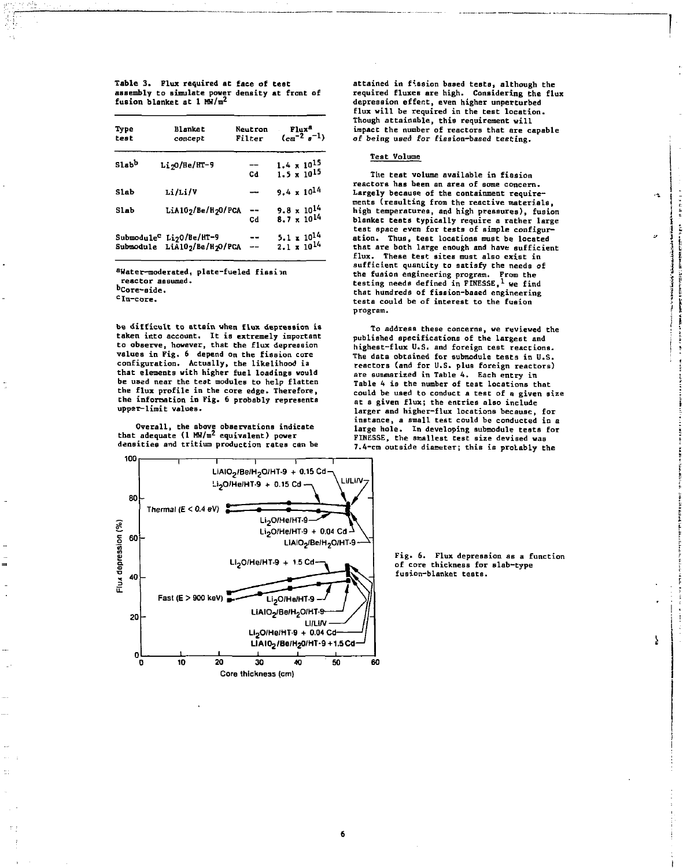**Table 3. Flux required at face of test assembly to simulate power density at front of fusion blanket at 1 MW/m<sup>2</sup>**

| Type<br>test      | Blanket<br>concept                                                    | Neutron<br>Filter | Flux <sup>8</sup><br>$(cm-2g-1)$             |  |
|-------------------|-----------------------------------------------------------------------|-------------------|----------------------------------------------|--|
| Slab <sup>b</sup> | $Li$ <sub>20</sub> /He/HT-9                                           | Cd                | $1.4 \times 10^{15}$<br>$1.5 \times 10^{15}$ |  |
| <b>Slab</b>       | Li/Li/V                                                               |                   | $9.4 \times 10^{14}$                         |  |
| Slab              | LiA102/Be/H20/PCA                                                     | --<br>Cd          | $9.8 \times 10^{14}$<br>$8.7 \times 10^{14}$ |  |
| Submodule         | Submodule <sup>C</sup> Li <sub>2</sub> 0/Be/HT-9<br>LiA102/Be/H2O/PCA |                   | $5.1 \times 10^{14}$<br>$2.1 \times 10^{14}$ |  |

**<sup>a</sup> Water-moderated, plate-fueled fissiin reactor assumed.** 

**"Core-aide.** 

**<sup>c</sup> In-core.** 

**be difficult to attain when flux depression ia taken into account. It is extremely important to observe, however, that the flux depression values in Fig. 6 depend on the fission core configuration. Actually, the likelihood ia that elements with higher fuel loadings would be used near the test modules to help flatten the flux profile in the core edge. Therefore, the information in Fig. 6 probably represents upper-limit values.** 

**Overall, the above observations indicate that adequate (1 MW/m2 equivalent) power densities and tritium production rates can be**  **attained in frssion based tests, although the required fluxes are high. Considering the flux depression effect, even higher unperturbed flux will be required in the test location. Though attainable, this requirement will impact the number of reactors that are capable**  of being used for fission-based testing.

# **Test Volume**

**The test volume available in fission reactors has been an area of some concern. Largely because of the containment requirements (resulting from the reactive materials, high temperatures, and high pressures), fusion blanket tests typically require a rather large test space even for tests of simple configuration. Thus, test locations must be located that are both large enough and have sufficient flux. These test sites must also exist in sufficient quantity to satisfy the needs of the fusion engineering program. From the testing needs defined in FINESSE,1 we find that hundreds of fission-based engineering tests could be of interest to the fusion program.** 

٠Ł

Y.

**To address these concerns, we reviewed the published specifications of the largest and highest-flux U.S. and foreign test reactions. The data obtained for submodule tests in U.S. reactors (and for U.S. plus foreign reactors) are summarized in Table 4. Each entry in Table 4 is the number of test locations that could be used to conduct a test of a given size**  at a given flux; the entries also include **larger and higher-flux locations because, for instance, a small test could be conducted in a large hole. In developing submodule tests for FINESSE, the smallest test size devised was 7.4-cm outside diameter; this is probably the** 



**Fig . 6. Flux depression as a function of core thickness for slab-type fusion-blanket tests.**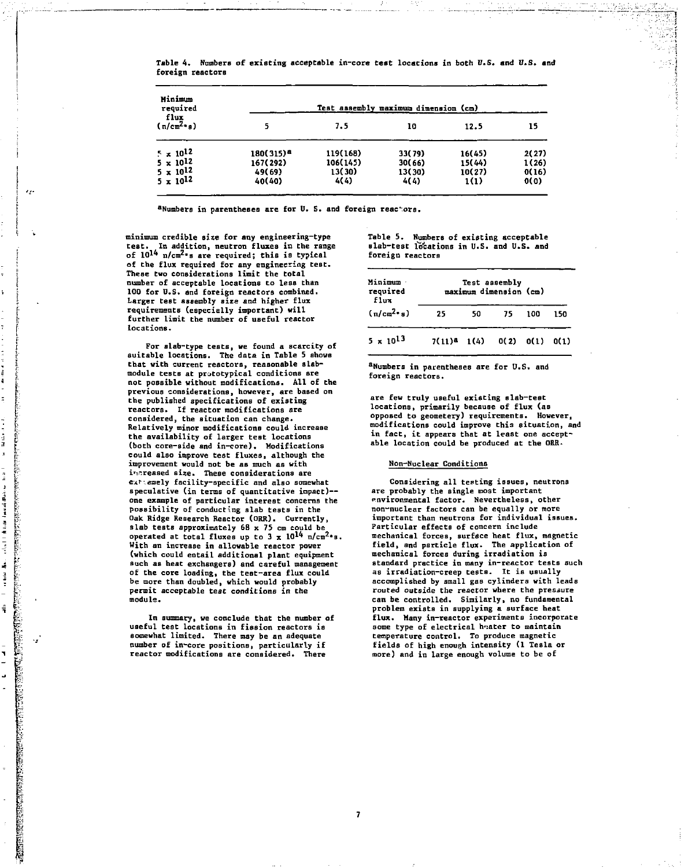| Minimum<br>required<br>flux<br>(n/cm <sup>2</sup> ·n) | Test assembly maximum dimension (cm) |                            |                          |                          |                        |
|-------------------------------------------------------|--------------------------------------|----------------------------|--------------------------|--------------------------|------------------------|
|                                                       |                                      | 7.5                        | 10                       | 12.5                     | 15                     |
| $\sim \times 10^{12}$<br>$5 \times 10^{12}$           | 180(315) <sup>8</sup>                | 119(168)                   | 33(79)                   | 16(45)                   | 2(27)                  |
| $5 \times 10^{12}$<br>$5 \times 10^{12}$              | 167(292)<br>49(69)<br>40(40)         | 106(145)<br>13(30)<br>4(4) | 30(66)<br>13(30)<br>4(4) | 15(44)<br>10(27)<br>1(1) | 1(26)<br>0(16)<br>0(0) |

Table 4. Numbers of existing acceptable in-core **test** locations in both U.S. **and** U.S. **and**  foreign reactors

**<sup>a</sup>Numbers in parentheses are for U. 5. and foreign reactors.** 

**minimum credible size for any engineering-type**  In addition, neutron fluxes in the range **of lO<sup>1</sup> ^ n/crn^s are required; this is typical of the flux required for any engineering teBt. These two considerations limit the total number of acceptable locations to less than 100 for U.S. and foreign reactors combined. Larger test assembly size and higher flux requirements (especially important) will further limit the number of useful reactor locations.** 

 $^{\prime}$ 

į

一夜星

医皮肤瘤 医皮质 医牙根 医二次元

计数据文件

 $\frac{1}{3}$  $\overline{a}$ ú

**TANGER STATES PROPERTY.**  $\frac{a}{2}$ 

٠,

**For slab-type tests, we found a scarcity of suitable locations. The data in Table 5 shove that with current reactors, reasonable slabmodule tests at prototypical conditions are not possible without modifications. All of the previous considerations, however, are based on the published specifications of existing reactors\* If reactor modifications are considered, the situation can change. Relatively minor modifications could increase the availability of larger test locations (both core-side and in-core). Modifications could also improve test fluxes, although the improvement would not be as much as with**  increased size. These considerations are **exT"\_emely facility-specific and also somewhat speculative (in terms of quantitative impact) one example of particular interest concerns the possibility of conducting slab tests in the Oak Ridge Research Reactor (ORR). Currently,**  slab tests approximately 68 x 75 cm could be siab tests approximately box 73 cm could be<br>operated at total fluxes up to 3 x 10<sup>14</sup> n/cm<sup>2</sup>\*B. With an increase in allowable reactor power (which could entail additional plant equipment such as heat exchangers) and careful management or the core loading, the test-area flux cou<br>be more than doubled, which would probably permit acceptable test conditions in the<br>module.

**In summary, we conclude that the number of useful test locations in fission reactors is somewhat limited. There may be an adequate number of in-core positions, particularly if reactor modifications are considered. There** 

**Table 5. Numbers of existing acceptable slab-test locations in U.S. and U.S. and foreign reactors** 

| Minimum<br>required<br><b>flux</b> | Test assembly<br>maximum dimension (cm) |    |      |      |      |  |
|------------------------------------|-----------------------------------------|----|------|------|------|--|
| $(n/cm^2 \cdot s)$                 | 25                                      | 50 | 75   | 100  | 150  |  |
| $5 \times 10^{13}$                 | $7(11)4$ $1(4)$                         |    | 0(2) | 0(1) | Q(1) |  |

**<sup>a</sup>Numbers in parentheses are for U.S. and foreign reactors.** 

**are few truly useful existing slab-test locations, primarily because of flux (as opposed to geometery) requirements. However, modifications could improve thi3 situation, and in fact, it appears that at least one acceptable location could be produced at the ORR.** 

### **Non-Nuclear Conditions**

**Considering all testing issues, neutrons are probably the single most important environmental factor. Nevertheless, other non-nuclear factors can be equally or more important than neutrons for individual issues. Particular effects of concern include mechanical forces, surface heat flux, magnetic field, and particle flux. The application of mechanical forces during irradiation is standard practice in many in-reactor tests such as irradiation-creep tests. It is usually accomplished by small gas cylinders with leads routed outside the reactor where the pressure can be controlled. Similarly, no fundamental problem exists in supplying a surface heat flux. Many in-reactor experiments incorporate some type of electrical heater to maintain temperature control. To produce magnetic fields of high enough intensity (1 Tesla or more) and in large enough volume to be of**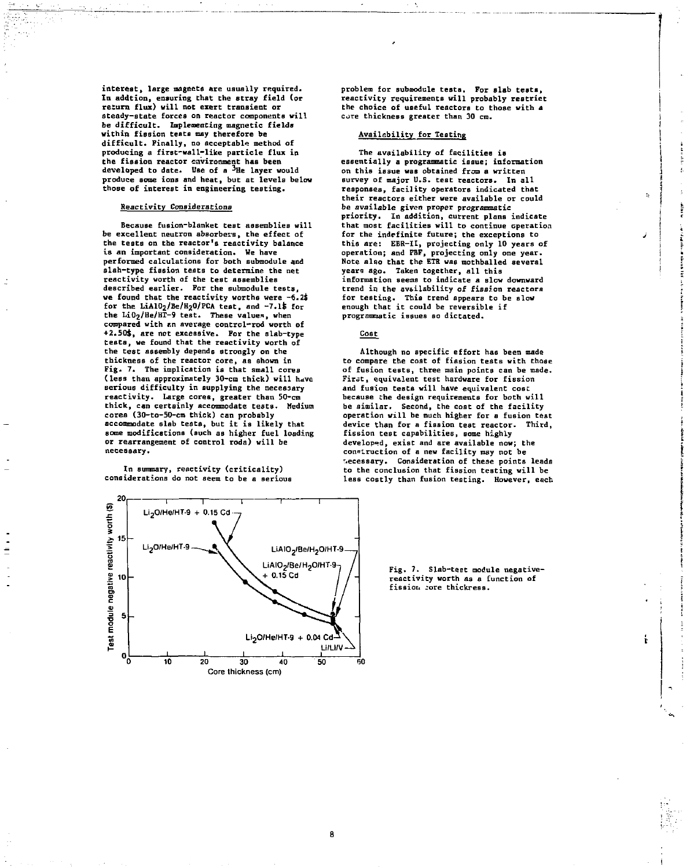**interest, large magnets are usually required. In addtion, ensuring that the stray field (or return flux) will not exert transient or steady-state forces on reactor components will be difficult. Implementing magnetic fields within fission teats may therefore be difficult. Finally, no acceptable method of producing a first-wall-like particle flux in the fission reactor environment has been developed to date. Use of a ^He layer would produce some ions and heat, but at levels below those of interest in engineering testing.** 

# **Reactivity Considerations**

Because fusion-blanket test assemblies will **be excellent neutron absorbers, the effect of the tests on the reactor's reactivity balance is an important consideration. We have performed calculations for both Bubmodule and slab-type fission tests to determine the net reactivity worth of the test assemblies described earlier. For the submodule tests, we found that the reactivity worths were -6.2\$ for the LiA102/Be/H20/PCA teat, and [-7.lt](http://-7.lt) for the Li0<sup>2</sup> /He/HT-9 test. These value\*, when**  compared with an average control-rod worth of **+2.50\$, are not excessive. For the slab-type tests, we found that the reactivity worth of the test assembly depends strongly on the thickness of the reactor core, as shown in Fig. 7. The implication is that small cores**  (less than approximately 30-cm thick) will have **serious difficulty in supplying the necessary reactivity. Large cores, greater than 50-cm**<br>reactivity. Large cores, greater than 50-cm **chick, can certainly accommodate tests.** Media<br>cores (30-to-50-cm thick) can probably **sccommodate slab tests, but it is likely that<br>some modifications (such as higher fuel loading** or rearrangement of control roda) will be<br>necessary.

**In summary, reactivity (criticality) considerations do not seem to be a serious** 

————————————————————<br>Li<sub>2</sub>0/He/HT-9 + 0.15 Cd -- $\overline{1}$  1 **Test module negative reactivity worth (8)**<br>به ن  $Li_2$ O/He/HT-9  $\longrightarrow$   $\rightarrow$  X LiAIO<sub>2</sub>/Be/H<sub>2</sub>O/HT-9 LiAIO<sub>2</sub>/Be/H<sub>2</sub>O/HT-9-**^**  + 0.15 Cd *11.*  10 **s>-^ / / .**  5  $Li<sub>2</sub>O/He/HT-9 + 0.04 Cd$ ە<br>ە <u>i 1. mars 1. ma</u>  $1$  is a local contract of  $1$ 20 30 40 60 Core thickness (cm)

**problem for submodule tests. For slab tests, reactivity requirements will probably restrict the choice of useful reactors to those with a core thickness greater than 30 cm.** 

# **Availability for Testing**

**The availability of facilities is essentially a programmatic issue; information on this issue was obtained from a written survey of major U.S. test reactors. In all responses, facility operators indicated that their reactors either were available or could be available given proper programmatic priority. In addition, current plans indicate that most facilities will to continue operation for the indefinite future; the exceptions to**  this are: EBR-II, projecting only 10 years of<br>operation; and PBF, projecting only one year. **Note also that the ETR was mothballed several years ago. Taken together, all this information seems to indicate a slow downward trend in the availability of fission reactors for testing. This trend appears to be slow enough that it could be reversible if programmatic issues so dictated.** 

## **Cost**

**Although no specific effort has been made to compare the cost of fission tests with those of fusion tests, three main points can be made. First, equivalent test hardware for fission and fusion tests will have equivalent cose because the design requirements for both will be similar. Second, the cost of the facility operation will be much higher for a fusion test device than for a fission test reactor. Third, fission test capabilities, some highly developed, exist and are available now; the consLruction of a new facility may not be necessary. Consideration of these points leads to the conclusion that fission testing will be less costly than fusion testing. However, each** 

> **Fig. 7. Slab-test module negativereactivity worth as a function of fission jore thickress.**

> > ŧ